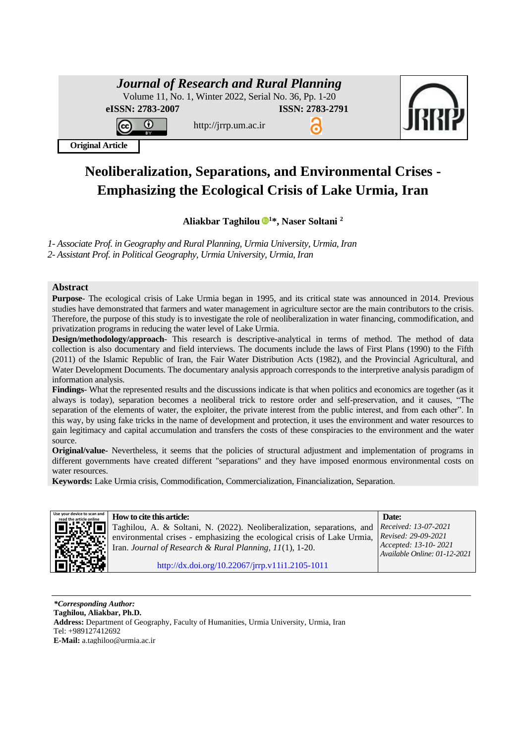| <b>Journal of Research and Rural Planning</b>          |                      |                 |  |  |  |
|--------------------------------------------------------|----------------------|-----------------|--|--|--|
| Volume 11, No. 1, Winter 2022, Serial No. 36, Pp. 1-20 |                      |                 |  |  |  |
| eISSN: 2783-2007                                       |                      | ISSN: 2783-2791 |  |  |  |
| $\sqrt{c}$<br>O<br>вv                                  | http://jrrp.um.ac.ir |                 |  |  |  |



**Original Article**

# **Neoliberalization, Separations, and Environmental Crises - Emphasizing the Ecological Crisis of Lake Urmia, Iran**

# **Aliakbar Taghilou [1](https://orcid.org/0000-0002-5000-7943)\*, Naser Soltani <sup>2</sup>**

*1- Associate Prof. in Geography and Rural Planning, Urmia University, Urmia, Iran 2- Assistant Prof. in Political Geography, Urmia University, Urmia, Iran*

#### **Abstract**

**Purpose**- The ecological crisis of Lake Urmia began in 1995, and its critical state was announced in 2014. Previous studies have demonstrated that farmers and water management in agriculture sector are the main contributors to the crisis. Therefore, the purpose of this study is to investigate the role of neoliberalization in water financing, commodification, and privatization programs in reducing the water level of Lake Urmia.

**Design/methodology/approach**- This research is descriptive-analytical in terms of method. The method of data collection is also documentary and field interviews. The documents include the laws of First Plans (1990) to the Fifth (2011) of the Islamic Republic of Iran, the Fair Water Distribution Acts (1982), and the Provincial Agricultural, and Water Development Documents. The documentary analysis approach corresponds to the interpretive analysis paradigm of information analysis.

**Findings**- What the represented results and the discussions indicate is that when politics and economics are together (as it always is today), separation becomes a neoliberal trick to restore order and self-preservation, and it causes, "The separation of the elements of water, the exploiter, the private interest from the public interest, and from each other". In this way, by using fake tricks in the name of development and protection, it uses the environment and water resources to gain legitimacy and capital accumulation and transfers the costs of these conspiracies to the environment and the water source.

**Original/value-** Nevertheless, it seems that the policies of structural adjustment and implementation of programs in different governments have created different "separations" and they have imposed enormous environmental costs on water resources.

**Keywords:** Lake Urmia crisis, Commodification, Commercialization, Financialization, Separation.



*FROW* **to cite this article: <b>EXECUTE: EXECUTE: Date: Date: Date:** Taghilou, A. & Soltani, N. (2022). Neoliberalization, separations, and environmental crises - emphasizing the ecological crisis of Lake Urmia, Iran. *Journal of Research & Rural Planning, 11*(1), 1-20. *Received: 13-07-2021 Revised: 29-09-2021 Accepted: 13-10- 2021 Available Online: 01-12-2021*  [http://dx.doi.org/10.22067/jrrp.v11i1.2105-1011](http://dx.doi.org/10.22067/jrrp.v10i1.88785)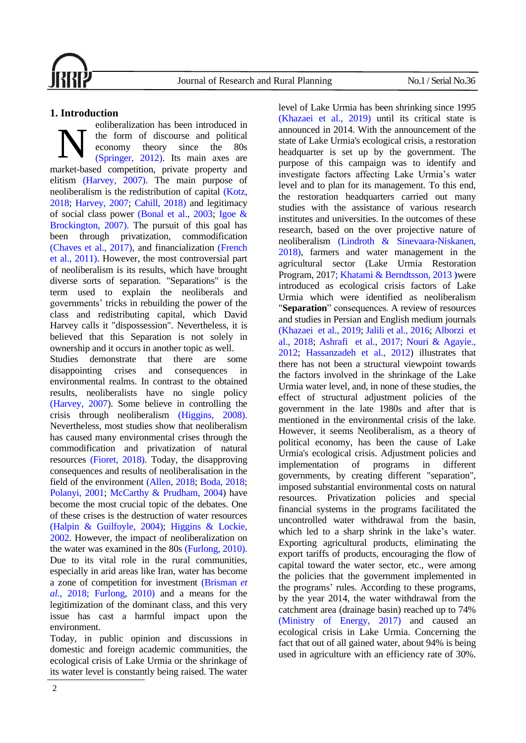

# **1. Introduction**

eoliberalization has been introduced in the form of discourse and political economy theory since the 80s [\(Springer, 2012\).](#page-17-0) Its main axes are market-based competition, private property and elitism [\(Harvey, 2007\).](#page-16-0) The main purpose of neoliberalism is the redistribution of capital [\(Kotz,](#page-16-1)  [2018;](#page-16-1) [Harvey, 2007;](#page-16-0) [Cahill, 2018\)](#page-15-0) and legitimacy of social class power [\(Bonal et al., 2003;](#page-15-1) [Igoe &](#page-16-2)  [Brockington, 2007\).](#page-16-2) The pursuit of this goal has been through privatization, commodification [\(Chaves et al., 2017\),](#page-15-2) and financialization [\(French](#page-15-3)  [et al., 2011\).](#page-15-3) However, the most controversial part of neoliberalism is its results, which have brought diverse sorts of separation. "Separations" is the term used to explain the neoliberals and governments' tricks in rebuilding the power of the class and redistributing capital, which David Harvey calls it "dispossession". Nevertheless, it is believed that this Separation is not solely in ownership and it occurs in another topic as well. N

Studies demonstrate that there are some disappointing crises and consequences in environmental realms. In contrast to the obtained results, neoliberalists have no single policy [\(Harvey, 2007\)](#page-16-0). Some believe in controlling the crisis through neoliberalism [\(Higgins, 2008\).](#page-16-3) Nevertheless, most studies show that neoliberalism has caused many environmental crises through the commodification and privatization of natural resources [\(Fioret, 2018\).](#page-15-4) Today, the disapproving consequences and results of neoliberalisation in the field of the environment [\(Allen, 2018;](#page-14-0) [Boda, 2018;](#page-15-5) [Polanyi, 2001;](#page-17-1) [McCarthy & Prudham, 2004\)](#page-17-2) have become the most crucial topic of the debates. One of these crises is the destruction of water resources [\(Halpin & Guilfoyle, 2004\);](#page-15-6) [Higgins & Lockie,](#page-16-4)  [2002.](#page-16-4) However, the impact of neoliberalization on the water was examined in the 80s [\(Furlong, 2010\).](#page-15-7) Due to its vital role in the rural communities, especially in arid areas like Iran, water has become a zone of competition for investment [\(Brisman](#page-15-8) *et al.*[, 2018](#page-15-8)[; Furlong, 2010\)](#page-15-7) and a means for the legitimization of the dominant class, and this very issue has cast a harmful impact upon the environment.

Today, in public opinion and discussions in domestic and foreign academic communities, the ecological crisis of Lake Urmia or the shrinkage of its water level is constantly being raised. The water

level of Lake Urmia has been shrinking since 1995 (Khazaei et [al., 2019\)](#page-16-5) until its critical state is announced in 2014. With the announcement of the state of Lake Urmia's ecological crisis, a restoration headquarter is set up by the government. The purpose of this campaign was to identify and investigate factors affecting Lake Urmia's water level and to plan for its management. To this end, the restoration headquarters carried out many studies with the assistance of various research institutes and universities. In the outcomes of these research, based on the over projective nature of neoliberalism [\(Lindroth & Sinevaara-Niskanen,](#page-17-3)  [2018\),](#page-17-3) farmers and water management in the agricultural sector (Lake Urmia Restoration Program, 201[7; Khatami & Berndtsson,](#page-16-6) 2013 **[\(](#page-16-6)**were introduced as ecological crisis factors of Lake Urmia which were identified as neoliberalism "**Separation**" consequences. A review of resources and studies in Persian and English medium journals [\(Khazaei et](#page-16-5) al., 2019; Jalili et [al., 2016;](#page-16-7) [Alborzi et](#page-14-1) [al., 2018;](#page-14-1) [Ashrafi et](#page-14-2) al., 2017; [Nouri & Agayie.,](#page-17-4)  [2012;](#page-17-4) [Hassanzadeh et](#page-16-8) al., 2012) illustrates that there has not been a structural viewpoint towards the factors involved in the shrinkage of the Lake Urmia water level, and, in none of these studies, the effect of structural adjustment policies of the government in the late 1980s and after that is mentioned in the environmental crisis of the lake. However, it seems Neoliberalism, as a theory of political economy, has been the cause of Lake Urmia's ecological crisis. Adjustment policies and implementation of programs in different governments, by creating different "separation", imposed substantial environmental costs on natural resources. Privatization policies and special financial systems in the programs facilitated the uncontrolled water withdrawal from the basin, which led to a sharp shrink in the lake's water. Exporting agricultural products, eliminating the export tariffs of products, encouraging the flow of capital toward the water sector, etc., were among the policies that the government implemented in the programs' rules. According to these programs, by the year 2014, the water withdrawal from the catchment area (drainage basin) reached up to 74% [\(Ministry of Energy,](#page-17-5) 2017) and caused an ecological crisis in Lake Urmia. Concerning the fact that out of all gained water, about 94% is being used in agriculture with an efficiency rate of 30%.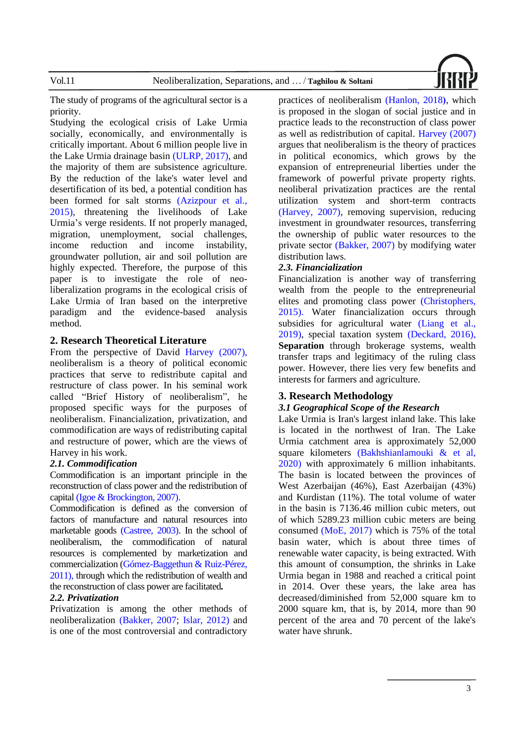

The study of programs of the agricultural sector is a priority.

Studying the ecological crisis of Lake Urmia socially, economically, and environmentally is critically important. About 6 million people live in the Lake Urmia drainage basin [\(ULRP, 2017\),](#page-17-6) and the majority of them are subsistence agriculture. By the reduction of the lake's water level and desertification of its bed, a potential condition has been formed for salt storms [\(Azizpour et](#page-14-3) al., [2015\),](#page-14-3) threatening the livelihoods of Lake Urmia's verge residents. If not properly managed, migration, unemployment, social challenges, income reduction and income instability, groundwater pollution, air and soil pollution are highly expected. Therefore, the purpose of this paper is to investigate the role of neoliberalization programs in the ecological crisis of Lake Urmia of Iran based on the interpretive paradigm and the evidence-based analysis method.

#### **2. Research Theoretical Literature**

From the perspective of David [Harvey \(2007\),](#page-16-0) neoliberalism is a theory of political economic practices that serve to redistribute capital and restructure of class power. In his seminal work called "Brief History of neoliberalism", he proposed specific ways for the purposes of neoliberalism. Financialization, privatization, and commodification are ways of redistributing capital and restructure of power, which are the views of Harvey in his work.

#### *2.1. Commodification*

Commodification is an important principle in the reconstruction of class power and the redistribution of capital (Igoe & [Brockington,](#page-16-2) 2007).

Commodification is defined as the conversion of factors of manufacture and natural resources into marketable goods [\(Castree, 2003\).](#page-15-9) In the school of neoliberalism, the commodification of natural resources is complemented by marketization and commercialization [\(Gómez-Baggethun & Ruiz-Pérez,](#page-15-10)  [2011\),](#page-15-10) through which the redistribution of wealth and the reconstruction of class power are facilitated.

#### *2.2. Privatization*

Privatization is among the other methods of neoliberalization [\(Bakker, 2007;](#page-14-4) [Islar, 2012\)](#page-16-9) and is one of the most controversial and contradictory

practices of neoliberalism [\(Hanlon, 2018](#page-16-10))[,](#page-16-10) which is proposed in the slogan of social justice and in practice leads to the reconstruction of class power as well as redistribution of capital. [Harvey \(2007\)](#page-16-0) argues that neoliberalism is the theory of practices in political economics, which grows by the expansion of entrepreneurial liberties under the framework of powerful private property rights. neoliberal privatization practices are the rental utilization system and short-term contracts [\(Harvey, 2007\),](#page-16-0) removing supervision, reducing investment in groundwater resources, transferring the ownership of public water resources to the private sector [\(Bakker, 2007\)](#page-14-4) by modifying water distribution laws.

#### *2.3. Financialization*

Financialization is another way of transferring wealth from the people to the entrepreneurial elites and promoting class power [\(Christophers,](#page-15-11)  [2015\).](#page-15-11) Water financialization occurs through subsidies for agricultural water [\(Liang et](#page-17-7) al., [2019\),](#page-17-7) special taxation system [\(Deckard, 2016\),](#page-15-12) **Separation** through brokerage systems, wealth transfer traps and legitimacy of the ruling class power. However, there lies very few benefits and interests for farmers and agriculture.

#### **3. Research Methodology**

#### *3.1 Geographical Scope of the Research*

Lake Urmia is Iran's largest inland lake. This lake is located in the northwest of Iran. The Lake Urmia catchment area is approximately 52,000 square kilometers [\(Bakhshianlamouki & et al,](#page-14-5)  [2020\)](#page-14-5) with approximately 6 million inhabitants. The basin is located between the provinces of West Azerbaijan (46%), East Azerbaijan (43%) and Kurdistan (11%). The total volume of water in the basin is 7136.46 million cubic meters, out of which 5289.23 million cubic meters are being consumed [\(MoE, 2017\)](#page-17-5) which is 75% of the total basin water, which is about three times of renewable water capacity, is being extracted. With this amount of consumption, the shrinks in Lake Urmia began in 1988 and reached a critical point in 2014. Over these years, the lake area has decreased/diminished from 52,000 square km to 2000 square km, that is, by 2014, more than 90 percent of the area and 70 percent of the lake's water have shrunk.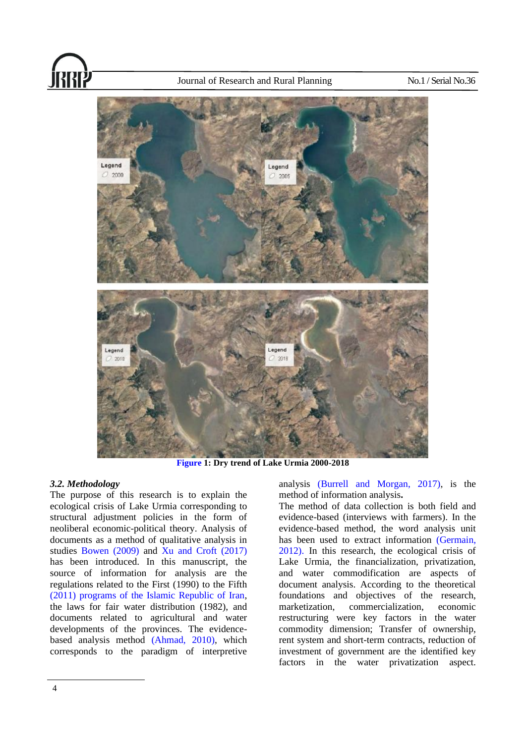

**[Figure](#page-3-0) 1: Dry trend of Lake Urmia 2000-2018** 

# <span id="page-3-0"></span>*3.2. Methodology*

The purpose of this research is to explain the ecological crisis of Lake Urmia corresponding to structural adjustment policies in the form of neoliberal economic-political theory. Analysis of documents as a method of qualitative analysis in studies [Bowen \(2009\)](#page-15-13) and [Xu and Croft \(2017\)](#page-17-8) has been introduced. In this manuscript, the source of information for analysis are the regulations related to the First (1990) to the Fifth (2011) [programs of the Islamic Republic of Iran,](#page-16-11) the laws for fair water distribution (1982), and documents related to agricultural and water developments of the provinces. The evidencebased analysis method [\(Ahmad, 2010\),](#page-14-6) which corresponds to the paradigm of interpretive

analysis (Burrell [and Morgan, 2017\),](#page-15-14) is the method of information analysis **.**

The method of data collection is both field and evidence-based (interviews with farmers). In the evidence-based method, the word analysis unit has been used to extract information (Germain, [2012\).](#page-15-15) In this research, the ecological crisis of Lake Urmia, the financialization, privatization, and water commodification are aspects of document analysis. According to the theoretical foundations and objectives of the research, marketization, commercialization, economic restructuring were key factors in the water commodity dimension; Transfer of ownership, rent system and short-term contracts, reduction of investment of government are the identified key factors in the water privatization aspect.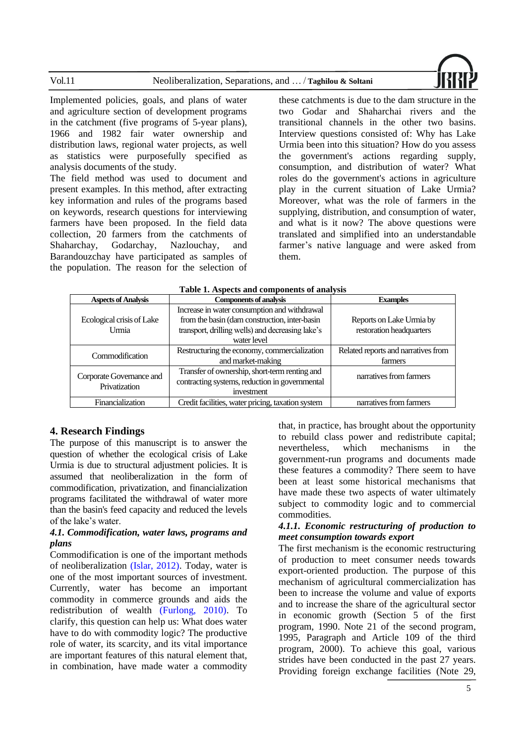

Implemented policies, goals, and plans of water and agriculture section of development programs in the catchment (five programs of 5-year plans), 1966 and 1982 fair water ownership and distribution laws, regional water projects, as well as statistics were purposefully specified as analysis documents of the study. The field method was used to document and present examples. In this method, after extracting key information and rules of the programs based on keywords, research questions for interviewing farmers have been proposed. In the field data collection, 20 farmers from the catchments of Shaharchay, Godarchay, Nazlouchay, and Barandouzchay have participated as samples of the population. The reason for the selection of these catchments is due to the dam structure in the two Godar and Shaharchai rivers and the transitional channels in the other two basins. Interview questions consisted of: Why has Lake Urmia been into this situation? How do you assess the government's actions regarding supply, consumption, and distribution of water? What roles do the government's actions in agriculture play in the current situation of Lake Urmia? Moreover, what was the role of farmers in the supplying, distribution, and consumption of water, and what is it now? The above questions were translated and simplified into an understandable farmer's native language and were asked from them.

| <b>Aspects of Analysis</b>                | <b>Components of analysis</b>                                                                                                                                    | <b>Examples</b>                                      |  |  |  |
|-------------------------------------------|------------------------------------------------------------------------------------------------------------------------------------------------------------------|------------------------------------------------------|--|--|--|
| Ecological crisis of Lake<br>Urmia        | Increase in water consumption and withdrawal<br>from the basin (dam construction, inter-basin<br>transport, drilling wells) and decreasing lake's<br>water level | Reports on Lake Urmia by<br>restoration headquarters |  |  |  |
| Commodification                           | Restructuring the economy, commercialization<br>and market-making                                                                                                | Related reports and narratives from<br>farmers       |  |  |  |
| Corporate Governance and<br>Privatization | Transfer of ownership, short-term renting and<br>contracting systems, reduction in governmental<br>investment                                                    | narratives from farmers                              |  |  |  |
| Financialization                          | Credit facilities, water pricing, taxation system                                                                                                                | narratives from farmers                              |  |  |  |

#### **Table 1. Aspects and components of analysis**

#### **4. Research Findings**

The purpose of this manuscript is to answer the question of whether the ecological crisis of Lake Urmia is due to structural adjustment policies. It is assumed that neoliberalization in the form of commodification, privatization, and financialization programs facilitated the withdrawal of water more than the basin's feed capacity and reduced the levels of the lake's water.

#### *4.1. Commodification, water laws, programs and plans*

Commodification is one of the important methods of neoliberalization [\(Islar, 2012\).](#page-16-9) Today, water is one of the most important sources of investment. Currently, water has become an important commodity in commerce grounds and aids the redistribution of wealth [\(Furlong, 2010\).](#page-15-7) To clarify, this question can help us: What does water have to do with commodity logic? The productive role of water, its scarcity, and its vital importance are important features of this natural element that, in combination, have made water a commodity

that, in practice, has brought about the opportunity to rebuild class power and redistribute capital; nevertheless, which mechanisms in the government-run programs and documents made these features a commodity? There seem to have been at least some historical mechanisms that have made these two aspects of water ultimately subject to commodity logic and to commercial commodities.

### *4.1.1. Economic restructuring of production to meet consumption towards export*

The first mechanism is the economic restructuring of production to meet consumer needs towards export-oriented production. The purpose of this mechanism of agricultural commercialization has been to increase the volume and value of exports and to increase the share of the agricultural sector in economic growth (Section 5 of the first program, 1990. Note 21 of the second program, 1995, Paragraph and Article 109 of the third program, 2000). To achieve this goal, various strides have been conducted in the past 27 years. Providing foreign exchange facilities (Note 29,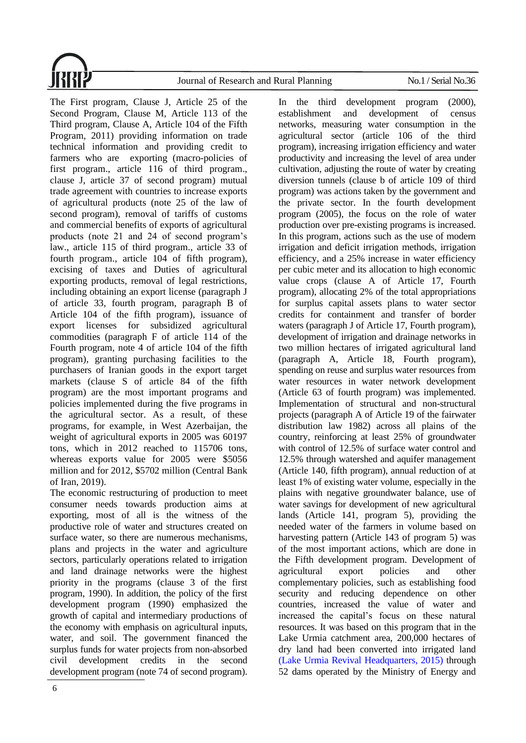

The First program, Clause J, Article 25 of the Second Program, Clause M, Article 113 of the Third program, Clause A, Article 104 of the Fifth Program, 2011) providing information on trade technical information and providing credit to farmers who are exporting (macro-policies of first program., article 116 of third program., clause J, article 37 of second program) mutual trade agreement with countries to increase exports of agricultural products (note 25 of the law of second program), removal of tariffs of customs and commercial benefits of exports of agricultural products (note 21 and 24 of second program's law., article 115 of third program., article 33 of fourth program., article 104 of fifth program), excising of taxes and Duties of agricultural exporting products, removal of legal restrictions, including obtaining an export license (paragraph J of article 33, fourth program, paragraph B of Article 104 of the fifth program), issuance of export licenses for subsidized agricultural commodities (paragraph F of article 114 of the Fourth program, note 4 of article 104 of the fifth program), granting purchasing facilities to the purchasers of Iranian goods in the export target markets (clause S of article 84 of the fifth program) are the most important programs and policies implemented during the five programs in the agricultural sector. As a result, of these programs, for example, in West Azerbaijan, the weight of agricultural exports in 2005 was 60197 tons, which in 2012 reached to 115706 tons, whereas exports value for 2005 were \$5056 million and for 2012, \$5702 million (Central Bank of Iran, 2019).

The economic restructuring of production to meet consumer needs towards production aims at exporting, most of all is the witness of the productive role of water and structures created on surface water, so there are numerous mechanisms, plans and projects in the water and agriculture sectors, particularly operations related to irrigation and land drainage networks were the highest priority in the programs (clause 3 of the first program, 1990). In addition, the policy of the first development program (1990) emphasized the growth of capital and intermediary productions of the economy with emphasis on agricultural inputs, water, and soil. The government financed the surplus funds for water projects from non-absorbed civil development credits in the second development program (note 74 of second program).

6

In the third development program (2000), establishment and development of census networks, measuring water consumption in the agricultural sector (article 106 of the third program), increasing irrigation efficiency and water productivity and increasing the level of area under cultivation, adjusting the route of water by creating diversion tunnels (clause b of article 109 of third program) was actions taken by the government and the private sector. In the fourth development program (2005), the focus on the role of water production over pre-existing programs is increased. In this program, actions such as the use of modern irrigation and deficit irrigation methods, irrigation efficiency, and a 25% increase in water efficiency per cubic meter and its allocation to high economic value crops (clause A of Article 17, Fourth program), allocating 2% of the total appropriations for surplus capital assets plans to water sector credits for containment and transfer of border waters (paragraph J of Article 17, Fourth program), development of irrigation and drainage networks in two million hectares of irrigated agricultural land (paragraph A, Article 18, Fourth program), spending on reuse and surplus water resources from water resources in water network development (Article 63 of fourth program) was implemented. Implementation of structural and non-structural projects (paragraph A of Article 19 of the fairwater distribution law 1982) across all plains of the country, reinforcing at least 25% of groundwater with control of 12.5% of surface water control and 12.5% through watershed and aquifer management (Article 140, fifth program), annual reduction of at least 1% of existing water volume, especially in the plains with negative groundwater balance, use of water savings for development of new agricultural lands (Article 141, program 5), providing the needed water of the farmers in volume based on harvesting pattern (Article 143 of program 5) was of the most important actions, which are done in the Fifth development program. Development of agricultural export policies and other complementary policies, such as establishing food security and reducing dependence on other countries, increased the value of water and increased the capital's focus on these natural resources. It was based on this program that in the Lake Urmia catchment area, 200,000 hectares of dry land had been converted into irrigated land [\(Lake Urmia Revival Headquarters, 2015\)](#page-15-16) through 52 dams operated by the Ministry of Energy and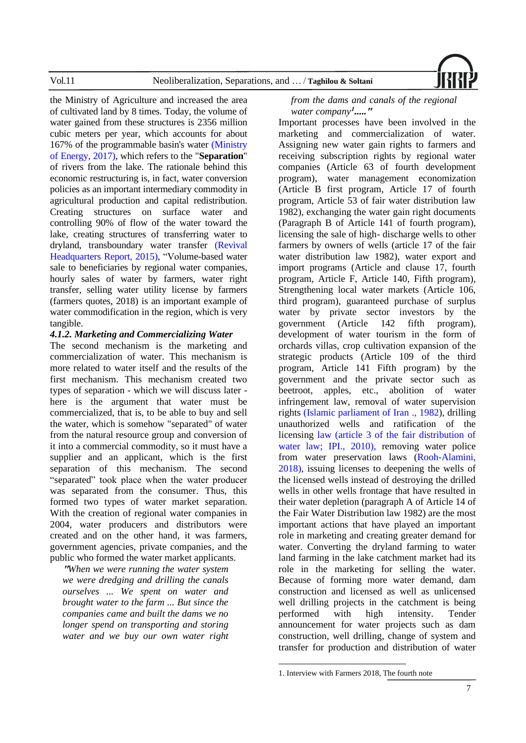

the Ministry of Agriculture and increased the area of cultivated land by 8 times. Today, the volume of water gained from these structures is 2356 million cubic meters per year, which accounts for about 167% of the programmable basin's water [\(Ministry](#page-17-5)  [of Energy, 2017\),](#page-17-5) which refers to the "**Separation**" of rivers from the lake. The rationale behind this economic restructuring is, in fact, water conversion policies as an important intermediary commodity in agricultural production and capital redistribution. Creating structures on surface water and controlling 90% of flow of the water toward the lake, creating structures of transferring water to dryland, transboundary water transfer [\(Revival](#page-15-16)  [Headquarters Report, 2015\),](#page-15-16) "Volume-based water sale to beneficiaries by regional water companies, hourly sales of water by farmers, water right transfer, selling water utility license by farmers (farmers quotes, 2018) is an important example of water commodification in the region, which is very tangible.

#### *4.1.2. Marketing and Commercializing Water*

The second mechanism is the marketing and commercialization of water. This mechanism is more related to water itself and the results of the first mechanism. This mechanism created two types of separation - which we will discuss later here is the argument that water must be commercialized, that is, to be able to buy and sell the water, which is somehow "separated" of water from the natural resource group and conversion of it into a commercial commodity, so it must have a supplier and an applicant, which is the first separation of this mechanism. The second "separated" took place when the water producer was separated from the consumer. Thus, this formed two types of water market separation. With the creation of regional water companies in 2004, water producers and distributors were created and on the other hand, it was farmers, government agencies, private companies, and the public who formed the water market applicants.

**"***When we were running the water system we were dredging and drilling the canals ourselves ... We spent on water and brought water to the farm ... But since the companies came and built the dams we no longer spend on transporting and storing water and we buy our own water right* 

#### *from the dams and canals of the regional water company***<sup>1</sup> ....."**

Important processes have been involved in the marketing and commercialization of water. Assigning new water gain rights to farmers and receiving subscription rights by regional water companies (Article 63 of fourth development program), water management economization (Article B first program, Article 17 of fourth program, Article 53 of fair water distribution law 1982), exchanging the water gain right documents (Paragraph B of Article 141 of fourth program), licensing the sale of high- discharge wells to other farmers by owners of wells (article 17 of the fair water distribution law 1982), water export and import programs (Article and clause 17, fourth program, Article F, Article 140, Fifth program), Strengthening local water markets (Article 106, third program), guaranteed purchase of surplus water by private sector investors by the government (Article 142 fifth program), development of water tourism in the form of orchards villas, crop cultivation expansion of the strategic products (Article 109 of the third program, Article 141 Fifth program) by the government and the private sector such as beetroot, apples, etc., abolition of water infringement law, removal of water supervision rights [\(Islamic parliament of Iran](#page-16-12) ., 1982), drilling unauthorized wells and ratification of the licensing [law \(article 3 of the fair distribution of](#page-16-13)  [water law; IPI., 2010\),](#page-16-13) removing water police from water preservation laws [\(Rooh-Alamini,](#page-17-9)  [2018\),](#page-17-9) issuing licenses to deepening the wells of the licensed wells instead of destroying the drilled wells in other wells frontage that have resulted in their water depletion (paragraph A of Article 14 of the Fair Water Distribution law 1982) are the most important actions that have played an important role in marketing and creating greater demand for water. Converting the dryland farming to water land farming in the lake catchment market had its role in the marketing for selling the water. Because of forming more water demand, dam construction and licensed as well as unlicensed well drilling projects in the catchment is being performed with high intensity. Tender announcement for water projects such as dam construction, well drilling, change of system and transfer for production and distribution of water

<sup>1.</sup> Interview with Farmers 2018, The fourth note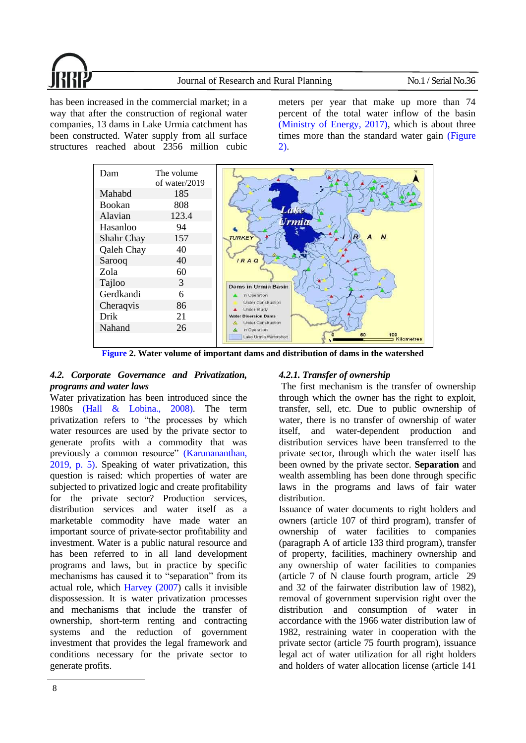

has been increased in the commercial market; in a way that after the construction of regional water companies, 13 dams in Lake Urmia catchment has been constructed. Water supply from all surface structures reached about 2356 million cubic

meters per year that make up more than 74 percent of the total water inflow of the basin (Ministry [of Energy, 2017\),](#page-17-5) which is about three times more than the standard water gain [\(Figure](#page-7-0)  [2\).](#page-7-0)



**[Figure](#page-7-0) 2. Water volume of important dams and distribution of dams in the watershed**

# <span id="page-7-0"></span>*4.2. Corporate Governance and Privatization, programs and water laws*

Water privatization has been introduced since the 1980s [\(Hall & Lobina., 2008\).](#page-15-17) The term privatization refers to "the processes by which water resources are used by the private sector to generate profits with a commodity that was previously a common resource" [\(Karunananthan,](#page-16-14)  [2019, p. 5\).](#page-16-14) Speaking of water privatization, this question is raised: which properties of water are subjected to privatized logic and create profitability for the private sector? Production services, distribution services and water itself as a marketable commodity have made water an important source of private-sector profitability and investment. Water is a public natural resource and has been referred to in all land development programs and laws, but in practice by specific mechanisms has caused it to "separation" from its actual role, which [Harvey \(2007\)](#page-16-0) calls it invisible dispossession. It is water privatization processes and mechanisms that include the transfer of ownership, short-term renting and contracting systems and the reduction of government investment that provides the legal framework and conditions necessary for the private sector to generate profits.

# *4.2.1. Transfer of ownership*

The first mechanism is the transfer of ownership through which the owner has the right to exploit, transfer, sell, etc. Due to public ownership of water, there is no transfer of ownership of water itself, and water-dependent production and distribution services have been transferred to the private sector, through which the water itself has been owned by the private sector. **Separation** and wealth assembling has been done through specific laws in the programs and laws of fair water distribution.

Issuance of water documents to right holders and owners (article 107 of third program), transfer of ownership of water facilities to companies (paragraph A of article 133 third program), transfer of property, facilities, machinery ownership and any ownership of water facilities to companies (article 7 of N clause fourth program, article 29 and 32 of the fairwater distribution law of 1982), removal of government supervision right over the distribution and consumption of water in accordance with the 1966 water distribution law of 1982, restraining water in cooperation with the private sector (article 75 fourth program), issuance legal act of water utilization for all right holders and holders of water allocation license (article 141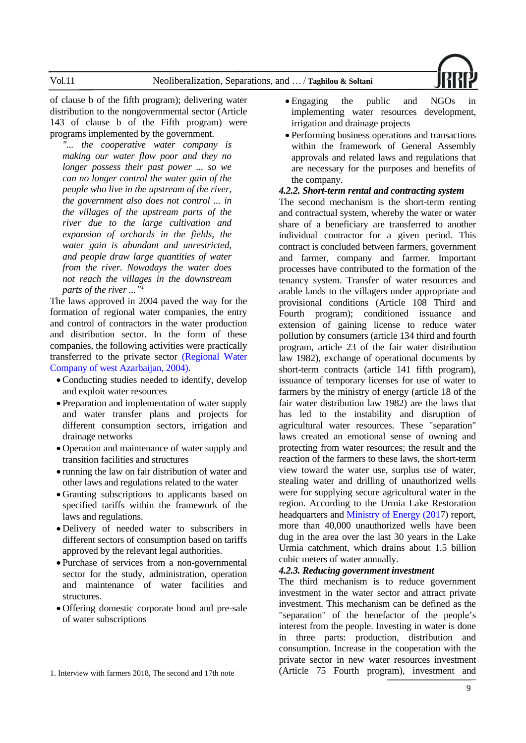

of clause b of the fifth program); delivering water distribution to the nongovernmental sector (Article 143 of clause b of the Fifth program) were programs implemented by the government.

*"... the cooperative water company is making our water flow poor and they no longer possess their past power ... so we can no longer control the water gain of the people who live in the upstream of the river, the government also does not control ... in the villages of the upstream parts of the river due to the large cultivation and expansion of orchards in the fields, the water gain is abundant and unrestricted, and people draw large quantities of water from the river. Nowadays the water does not reach the villages in the downstream parts of the river ..."<sup>1</sup>*

The laws approved in 2004 paved the way for the formation of regional water companies, the entry and control of contractors in the water production and distribution sector. In the form of these companies, the following activities were practically transferred to the private sector [\(Regional Water](#page-17-10)  [Company of west Azarbaijan,](#page-17-10) 2004).

- Conducting studies needed to identify, develop and exploit water resources
- Preparation and implementation of water supply and water transfer plans and projects for different consumption sectors, irrigation and drainage networks
- Operation and maintenance of water supply and transition facilities and structures
- running the law on fair distribution of water and other laws and regulations related to the water
- Granting subscriptions to applicants based on specified tariffs within the framework of the laws and regulations.
- Delivery of needed water to subscribers in different sectors of consumption based on tariffs approved by the relevant legal authorities.
- Purchase of services from a non-governmental sector for the study, administration, operation and maintenance of water facilities and structures.
- Offering domestic corporate bond and pre-sale of water subscriptions
- Engaging the public and NGOs in implementing water resources development, irrigation and drainage projects
- Performing business operations and transactions within the framework of General Assembly approvals and related laws and regulations that are necessary for the purposes and benefits of the company.

#### *4.2.2. Short-term rental and contracting system*

The second mechanism is the short-term renting and contractual system, whereby the water or water share of a beneficiary are transferred to another individual contractor for a given period. This contract is concluded between farmers, government and farmer, company and farmer. Important processes have contributed to the formation of the tenancy system. Transfer of water resources and arable lands to the villagers under appropriate and provisional conditions (Article 108 Third and Fourth program); conditioned issuance and extension of gaining license to reduce water pollution by consumers (article 134 third and fourth program, article 23 of the fair water distribution law 1982), exchange of operational documents by short-term contracts (article 141 fifth program), issuance of temporary licenses for use of water to farmers by the ministry of energy (article 18 of the fair water distribution law 1982) are the laws that has led to the instability and disruption of agricultural water resources. These "separation" laws created an emotional sense of owning and protecting from water resources; the result and the reaction of the farmers to these laws, the short-term view toward the water use, surplus use of water, stealing water and drilling of unauthorized wells were for supplying secure agricultural water in the region. According to the Urmia Lake Restoration headquarters and [Ministry of Energy \(2017](#page-17-5)) report, more than 40,000 unauthorized wells have been dug in the area over the last 30 years in the Lake Urmia catchment, which drains about 1.5 billion cubic meters of water annually.

#### *4.2.3. Reducing government investment*

The third mechanism is to reduce government investment in the water sector and attract private investment. This mechanism can be defined as the "separation" of the benefactor of the people's interest from the people. Investing in water is done in three parts: production, distribution and consumption. Increase in the cooperation with the private sector in new water resources investment (Article 75 Fourth program), investment and

<sup>1.</sup> Interview with farmers 2018, The second and 17th note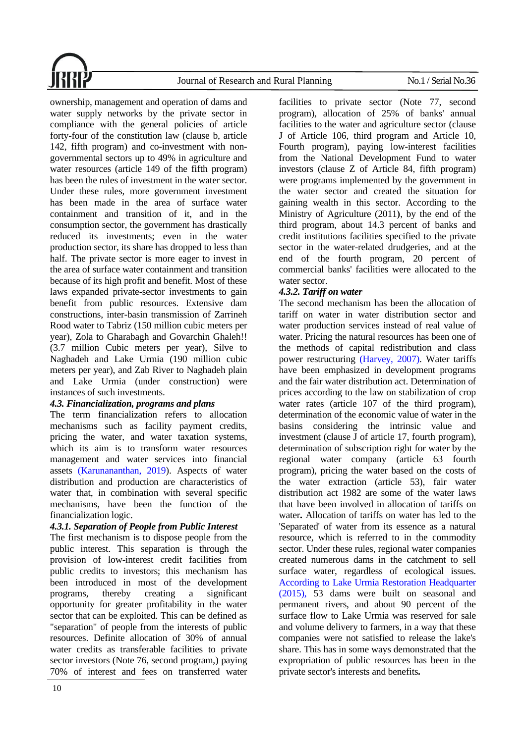

ownership, management and operation of dams and water supply networks by the private sector in compliance with the general policies of article forty-four of the constitution law (clause b, article 142, fifth program) and co-investment with nongovernmental sectors up to 49% in agriculture and water resources (article 149 of the fifth program) has been the rules of investment in the water sector. Under these rules, more government investment has been made in the area of surface water containment and transition of it, and in the consumption sector, the government has drastically reduced its investments; even in the water production sector, its share has dropped to less than half. The private sector is more eager to invest in the area of surface water containment and transition because of its high profit and benefit. Most of these laws expanded private-sector investments to gain benefit from public resources. Extensive dam constructions, inter-basin transmission of Zarrineh Rood water to Tabriz (150 million cubic meters per year), Zola to Gharabagh and Govarchin Ghaleh!! (3.7 million Cubic meters per year), Silve to Naghadeh and Lake Urmia (190 million cubic meters per year), and Zab River to Naghadeh plain and Lake Urmia (under construction) were instances of such investments.

# *4.3. Financialization, programs and plans*

The term financialization refers to allocation mechanisms such as facility payment credits, pricing the water, and water taxation systems, which its aim is to transform water resources management and water services into financial assets [\(Karunananthan, 2019\)](#page-16-14). Aspects of water distribution and production are characteristics of water that, in combination with several specific mechanisms, have been the function of the financialization logic.

# *4.3.1. Separation of People from Public Interest*

The first mechanism is to dispose people from the public interest. This separation is through the provision of low-interest credit facilities from public credits to investors; this mechanism has been introduced in most of the development programs, thereby creating a significant opportunity for greater profitability in the water sector that can be exploited. This can be defined as "separation" of people from the interests of public resources. Definite allocation of 30% of annual water credits as transferable facilities to private sector investors (Note 76, second program,) paying 70% of interest and fees on transferred water

facilities to private sector (Note 77, second program), allocation of 25% of banks' annual facilities to the water and agriculture sector (clause J of Article 106, third program and Article 10, Fourth program), paying low-interest facilities from the National Development Fund to water investors (clause Z of Article 84, fifth program) were programs implemented by the government in the water sector and created the situation for gaining wealth in this sector. According to the Ministry of Agriculture (2011), by the end of the third program, about 14.3 percent of banks and credit institutions facilities specified to the private sector in the water-related drudgeries, and at the end of the fourth program, 20 percent of commercial banks' facilities were allocated to the water sector.

# *4.3.2. Tariff on water*

The second mechanism has been the allocation of tariff on water in water distribution sector and water production services instead of real value of water. Pricing the natural resources has been one of the methods of capital redistribution and class power restructuring [\(Harvey, 2007\).](#page-16-0) Water tariffs have been emphasized in development programs and the fair water distribution act. Determination of prices according to the law on stabilization of crop water rates (article 107 of the third program). determination of the economic value of water in the basins considering the intrinsic value and investment (clause J of article 17, fourth program), determination of subscription right for water by the regional water company (article 63 fourth program), pricing the water based on the costs of the water extraction (article 53), fair water distribution act 1982 are some of the water laws that have been involved in allocation of tariffs on water. Allocation of tariffs on water has led to the 'Separated' of water from its essence as a natural resource, which is referred to in the commodity sector. Under these rules, regional water companies created numerous dams in the catchment to sell surface water, regardless of ecological issues. [According to Lake Urmia Restoration Headquarter](#page-15-16) [\(2015\),](#page-15-16) 53 dams were built on seasonal and permanent rivers, and about 90 percent of the surface flow to Lake Urmia was reserved for sale and volume delivery to farmers, in a way that these companies were not satisfied to release the lake's share. This has in some ways demonstrated that the expropriation of public resources has been in the private sector's interests and benefits **.**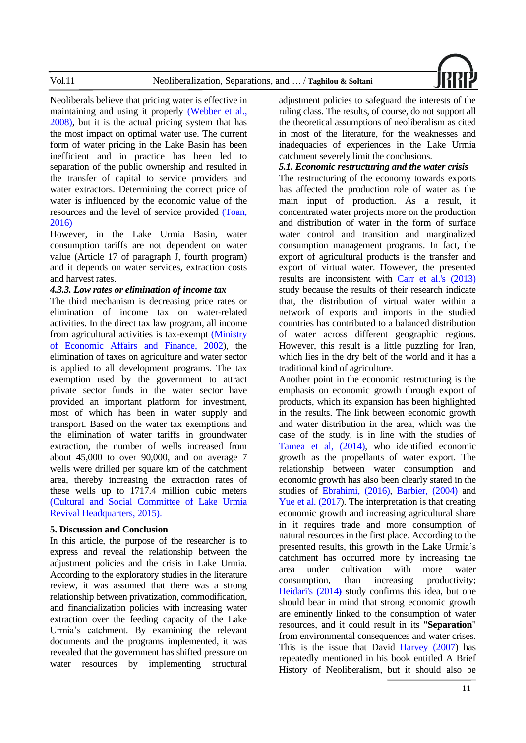

Neoliberals believe that pricing water is effective in maintaining and using it properly [\(Webber et](#page-17-11) al., [2008\),](#page-17-11) but it is the actual pricing system that has the most impact on optimal water use. The current form of water pricing in the Lake Basin has been inefficient and in practice has been led to separation of the public ownership and resulted in the transfer of capital to service providers and water extractors. Determining the correct price of water is influenced by the economic value of the resources and the level of service provided [\(Toan,](#page-17-12)  [2016\)](#page-17-12)

However, in the Lake Urmia Basin, water consumption tariffs are not dependent on water value (Article 17 of paragraph J, fourth program) and it depends on water services, extraction costs and harvest rates.

#### *4.3.3. Low rates or elimination of income tax*

The third mechanism is decreasing price rates or elimination of income tax on water-related activities. In the direct tax law program, all income from agricultural activities is tax-exempt [\(Ministry](#page-17-13)  [of Economic Affairs and Finance, 2002\)](#page-17-13), the elimination of taxes on agriculture and water sector is applied to all development programs. The tax exemption used by the government to attract private sector funds in the water sector have provided an important platform for investment, most of which has been in water supply and transport. Based on the water tax exemptions and the elimination of water tariffs in groundwater extraction, the number of wells increased from about 45,000 to over 90,000, and on average 7 wells were drilled per square km of the catchment area, thereby increasing the extraction rates of these wells up to 1717.4 million cubic meters (Cultural and [Social Committee of Lake Urmia](#page-15-16)  [Revival Headquarters, 2015\).](#page-15-16)

#### **5. Discussion and Conclusion**

In this article, the purpose of the researcher is to express and reveal the relationship between the adjustment policies and the crisis in Lake Urmia. According to the exploratory studies in the literature review, it was assumed that there was a strong relationship between privatization, commodification, and financialization policies with increasing water extraction over the feeding capacity of the Lake Urmia's catchment. By examining the relevant documents and the programs implemented, it was revealed that the government has shifted pressure on water resources by implementing structural

adjustment policies to safeguard the interests of the ruling class. The results, of course, do not support all the theoretical assumptions of neoliberalism as cited in most of the literature, for the weaknesses and inadequacies of experiences in the Lake Urmia catchment severely limit the conclusions.

#### *5.1. Economic restructuring and the water crisis*

The restructuring of the economy towards exports has affected the production role of water as the main input of production. As a result, it concentrated water projects more on the production and distribution of water in the form of surface water control and transition and marginalized consumption management programs. In fact, the export of agricultural products is the transfer and export of virtual water. However, the presented results are inconsistent with [Carr et al.'s \(2013\)](#page-15-18) study because the results of their research indicate that, the distribution of virtual water within a network of exports and imports in the studied countries has contributed to a balanced distribution of water across different geographic regions. However, this result is a little puzzling for Iran, which lies in the dry belt of the world and it has a traditional kind of agriculture.

Another point in the economic restructuring is the emphasis on economic growth through export of products, which its expansion has been highlighted in the results. The link between economic growth and water distribution in the area, which was the case of the study, is in line with the studies of [Tamea et al, \(2014\),](#page-17-14) who identified economic growth as the propellants of water export. The relationship between water consumption and economic growth has also been clearly stated in the studies of [Ebrahimi, \(2016\),](#page-15-19) [Barbier,](#page-14-7) (2004) and [Yue et al.](#page-17-15) (2017). The interpretation is that creating economic growth and increasing agricultural share in it requires trade and more consumption of natural resources in the first place. According to the presented results, this growth in the Lake Urmia's catchment has occurred more by increasing the area under cultivation with more water consumption, than increasing productivity; [Heidari's \(2014](#page-16-15)) study confirms this idea, but one should bear in mind that strong economic growth are eminently linked to the consumption of water resources, and it could result in its "**Separation**" from environmental consequences and water crises. This is the issue that David [Harvey \(2007\)](#page-16-0) has repeatedly mentioned in his book entitled A Brief History of Neoliberalism, but it should also be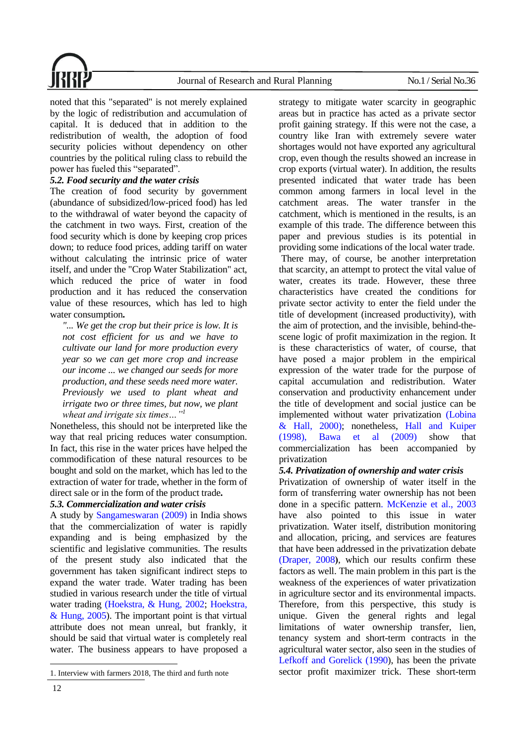

noted that this "separated" is not merely explained by the logic of redistribution and accumulation of capital. It is deduced that in addition to the redistribution of wealth, the adoption of food security policies without dependency on other countries by the political ruling class to rebuild the power has fueled this "separated".

#### *5.2. Food security and the water crisis*

The creation of food security by government (abundance of subsidized/low-priced food) has led to the withdrawal of water beyond the capacity of the catchment in two ways. First, creation of the food security which is done by keeping crop prices down; to reduce food prices, adding tariff on water without calculating the intrinsic price of water itself, and under the "Crop Water Stabilization" act, which reduced the price of water in food production and it has reduced the conservation value of these resources, which has led to high water consumption.

*"... We get the crop but their price is low. It is not cost efficient for us and we have to cultivate our land for more production every year so we can get more crop and increase our income ... we changed our seeds for more production, and these seeds need more water. Previously we used to plant wheat and irrigate two or three times, but now, we plant wheat and irrigate six times…"<sup>1</sup>*

Nonetheless, this should not be interpreted like the way that real pricing reduces water consumption. In fact, this rise in the water prices have helped the commodification of these natural resources to be bought and sold on the market, which has led to the extraction of water for trade, whether in the form of direct sale or in the form of the product trade.

#### *5.3. Commercialization and water crisis*

A study by [Sangameswaran \(2009\)](#page-17-16) in India shows that the commercialization of water is rapidly expanding and is being emphasized by the scientific and legislative communities. The results of the present study also indicated that the government has taken significant indirect steps to expand the water trade. Water trading has been studied in various research under the title of virtual water trading [\(Hoekstra, & Hung,](#page-16-16) 2002; [Hoekstra,](#page-16-17)  [& Hung, 2005\)](#page-16-17). The important point is that virtual attribute does not mean unreal, but frankly, it should be said that virtual water is completely real water. The business appears to have proposed a strategy to mitigate water scarcity in geographic areas but in practice has acted as a private sector profit gaining strategy. If this were not the case, a country like Iran with extremely severe water shortages would not have exported any agricultural crop, even though the results showed an increase in crop exports (virtual water). In addition, the results presented indicated that water trade has been common among farmers in local level in the catchment areas. The water transfer in the catchment, which is mentioned in the results, is an example of this trade. The difference between this paper and previous studies is its potential in providing some indications of the local water trade. There may, of course, be another interpretation that scarcity, an attempt to protect the vital value of water, creates its trade. However, these three characteristics have created the conditions for private sector activity to enter the field under the title of development (increased productivity), with the aim of protection, and the invisible, behind-thescene logic of profit maximization in the region. It is these characteristics of water, of course, that have posed a major problem in the empirical expression of the water trade for the purpose of capital accumulation and redistribution. Water conservation and productivity enhancement under the title of development and social justice can be implemented without water privatization [\(Lobina](#page-17-17)  [& Hall, 2000\);](#page-17-17) nonetheless, [Hall and Kuiper](#page-15-20) [\(1998\),](#page-15-20) [Bawa et al \(2009\)](#page-14-8) show that commercialization has been accompanied by privatization

#### *5.4. Privatization of ownership and water crisis*

Privatization of ownership of water itself in the form of transferring water ownership has not been done in a specific patter[n. McKenzie et al., 2003](#page-17-18) have also pointed to this issue in water privatization. Water itself, distribution monitoring and allocation, pricing, and services are features that have been addressed in the privatization debate [\(Draper, 2008](#page-15-21)), which our results confirm these factors as well. The main problem in this part is the weakness of the experiences of water privatization in agriculture sector and its environmental impacts. Therefore, from this perspective, this study is unique. Given the general rights and legal limitations of water ownership transfer, lien, tenancy system and short-term contracts in the agricultural water sector, also seen in the studies of [Lefkoff and Gorelick \(1990\)](#page-17-19), has been the private sector profit maximizer trick. These short-term

<sup>1.</sup> Interview with farmers 2018, The third and furth note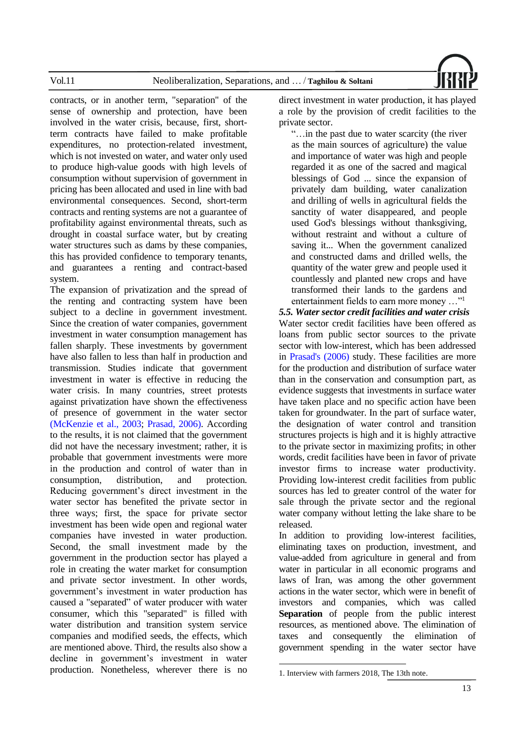

contracts, or in another term, "separation" of the sense of ownership and protection, have been involved in the water crisis, because, first, shortterm contracts have failed to make profitable expenditures, no protection-related investment, which is not invested on water, and water only used to produce high-value goods with high levels of consumption without supervision of government in pricing has been allocated and used in line with bad environmental consequences. Second, short-term contracts and renting systems are not a guarantee of profitability against environmental threats, such as drought in coastal surface water, but by creating water structures such as dams by these companies, this has provided confidence to temporary tenants, and guarantees a renting and contract-based system.

The expansion of privatization and the spread of the renting and contracting system have been subject to a decline in government investment. Since the creation of water companies, government investment in water consumption management has fallen sharply. These investments by government have also fallen to less than half in production and transmission. Studies indicate that government investment in water is effective in reducing the water crisis. In many countries, street protests against privatization have shown the effectiveness of presence of government in the water sector [\(McKenzie et](#page-17-18) al., 2003; [Prasad, 2006\).](#page-17-20) According to the results, it is not claimed that the government did not have the necessary investment; rather, it is probable that government investments were more in the production and control of water than in consumption, distribution, and protection. Reducing government's direct investment in the water sector has benefited the private sector in three ways; first, the space for private sector investment has been wide open and regional water companies have invested in water production. Second, the small investment made by the government in the production sector has played a role in creating the water market for consumption and private sector investment. In other words, government's investment in water production has caused a "separated" of water producer with water consumer, which this "separated" is filled with water distribution and transition system service companies and modified seeds, the effects, which are mentioned above. Third, the results also show a decline in government's investment in water production. Nonetheless, wherever there is no

direct investment in water production, it has played a role by the provision of credit facilities to the private sector.

"…in the past due to water scarcity (the river as the main sources of agriculture) the value and importance of water was high and people regarded it as one of the sacred and magical blessings of God ... since the expansion of privately dam building, water canalization and drilling of wells in agricultural fields the sanctity of water disappeared, and people used God's blessings without thanksgiving, without restraint and without a culture of saving it... When the government canalized and constructed dams and drilled wells, the quantity of the water grew and people used it countlessly and planted new crops and have transformed their lands to the gardens and entertainment fields to earn more money …"<sup>1</sup>

*5.5. Water sector credit facilities and water crisis* Water sector credit facilities have been offered as loans from public sector sources to the private sector with low-interest, which has been addressed in [Prasad's \(2006\)](#page-17-20) study. These facilities are more for the production and distribution of surface water than in the conservation and consumption part, as evidence suggests that investments in surface water have taken place and no specific action have been taken for groundwater. In the part of surface water, the designation of water control and transition structures projects is high and it is highly attractive to the private sector in maximizing profits; in other words, credit facilities have been in favor of private investor firms to increase water productivity. Providing low-interest credit facilities from public sources has led to greater control of the water for sale through the private sector and the regional water company without letting the lake share to be released.

In addition to providing low-interest facilities, eliminating taxes on production, investment, and value-added from agriculture in general and from water in particular in all economic programs and laws of Iran, was among the other government actions in the water sector, which were in benefit of investors and companies, which was called **Separation** of people from the public interest resources, as mentioned above. The elimination of taxes and consequently the elimination of government spending in the water sector have

<sup>1.</sup> Interview with farmers 2018, The 13th note.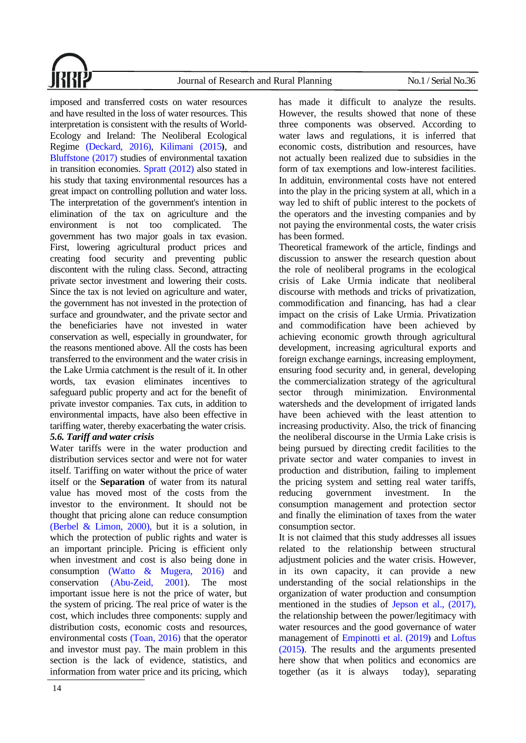

imposed and transferred costs on water resources and have resulted in the loss of water resources. This interpretation is consistent with the results of World-Ecology and Ireland: The Neoliberal Ecological Regime [\(Deckard, 2016\),](#page-15-12) [Kilimani \(2015](#page-16-18)), and [Bluffstone \(2017\)](#page-15-22) studies of environmental taxation in transition economies. [Spratt \(2012\)](#page-17-21) also stated in his study that taxing environmental resources has a great impact on controlling pollution and water loss. The interpretation of the government's intention in elimination of the tax on agriculture and the environment is not too complicated. The government has two major goals in tax evasion. First, lowering agricultural product prices and creating food security and preventing public discontent with the ruling class. Second, attracting private sector investment and lowering their costs. Since the tax is not levied on agriculture and water, the government has not invested in the protection of surface and groundwater, and the private sector and the beneficiaries have not invested in water conservation as well, especially in groundwater, for the reasons mentioned above. All the costs has been transferred to the environment and the water crisis in the Lake Urmia catchment is the result of it. In other words, tax evasion eliminates incentives to safeguard public property and act for the benefit of private investor companies. Tax cuts, in addition to environmental impacts, have also been effective in tariffing water, thereby exacerbating the water crisis.

# *5.6. Tariff and water crisis*

Water tariffs were in the water production and distribution services sector and were not for water itself. Tariffing on water without the price of water itself or the **Separation** of water from its natural value has moved most of the costs from the investor to the environment. It should not be thought that pricing alone can reduce consumption [\(Berbel & Limon, 2000\),](#page-14-9) but it is a solution, in which the protection of public rights and water is an important principle. Pricing is efficient only when investment and cost is also being done in consumption [\(Watto & Mugera, 2016\)](#page-17-22) and conservation [\(Abu-Zeid, 2001\)](#page-14-10). The most important issue here is not the price of water, but the system of pricing. The real price of water is the cost, which includes three components: supply and distribution costs, economic costs and resources, environmental costs [\(Toan, 2016\)](#page-17-12) that the operator and investor must pay. The main problem in this section is the lack of evidence, statistics, and information from water price and its pricing, which

has made it difficult to analyze the results. However, the results showed that none of these three components was observed. According to water laws and regulations, it is inferred that economic costs, distribution and resources, have not actually been realized due to subsidies in the form of tax exemptions and low-interest facilities. In addituin, environmental costs have not entered into the play in the pricing system at all, which in a way led to shift of public interest to the pockets of the operators and the investing companies and by not paying the environmental costs, the water crisis has been formed.

Theoretical framework of the article, findings and discussion to answer the research question about the role of neoliberal programs in the ecological crisis of Lake Urmia indicate that neoliberal discourse with methods and tricks of privatization, commodification and financing, has had a clear impact on the crisis of Lake Urmia. Privatization and commodification have been achieved by achieving economic growth through agricultural development, increasing agricultural exports and foreign exchange earnings, increasing employment, ensuring food security and, in general, developing the commercialization strategy of the agricultural sector through minimization. Environmental watersheds and the development of irrigated lands have been achieved with the least attention to increasing productivity. Also, the trick of financing the neoliberal discourse in the Urmia Lake crisis is being pursued by directing credit facilities to the private sector and water companies to invest in production and distribution, failing to implement the pricing system and setting real water tariffs, reducing government investment. In the consumption management and protection sector and finally the elimination of taxes from the water consumption sector.

It is not claimed that this study addresses all issues related to the relationship between structural adjustment policies and the water crisis. However, in its own capacity, it can provide a new understanding of the social relationships in the organization of water production and consumption mentioned in the studies of [Jepson et al., \(2017\),](#page-16-19) the relationship between the power/legitimacy with water resources and the good governance of water management of [Empinotti et al. \(2019](#page-15-23)) and Loftus [\(2015](#page-17-23) **(**. The results and the arguments presented here show that when politics and economics are together (as it is always today), separating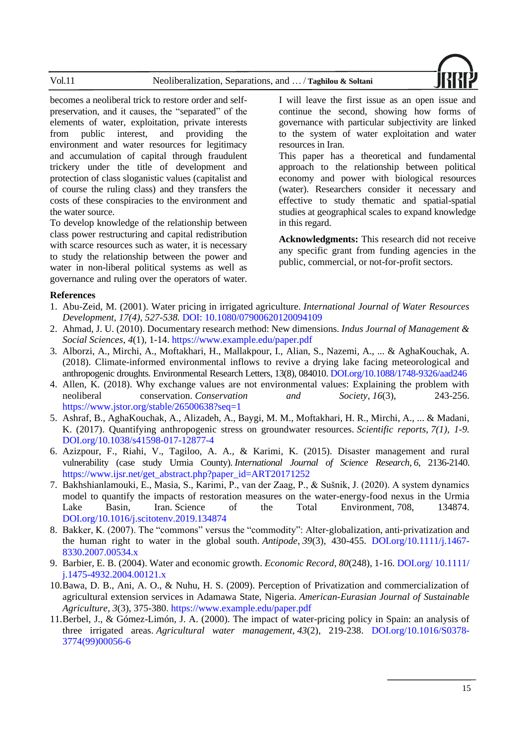

becomes a neoliberal trick to restore order and selfpreservation, and it causes, the "separated" of the elements of water, exploitation, private interests from public interest, and providing the environment and water resources for legitimacy and accumulation of capital through fraudulent trickery under the title of development and protection of class sloganistic values (capitalist and of course the ruling class) and they transfers the costs of these conspiracies to the environment and the water source.

To develop knowledge of the relationship between class power restructuring and capital redistribution with scarce resources such as water, it is necessary to study the relationship between the power and water in non-liberal political systems as well as governance and ruling over the operators of water. I will leave the first issue as an open issue and continue the second, showing how forms of governance with particular subjectivity are linked to the system of water exploitation and water resources in Iran.

This paper has a theoretical and fundamental approach to the relationship between political economy and power with biological resources (water).Researchers consider it necessary and effective to study thematic and spatial-spatial studies at geographical scales to expand knowledge in this regard.

**Acknowledgments:** This research did not receive any specific grant from funding agencies in the public, commercial, or not-for-profit sectors.

# **References**

- <span id="page-14-10"></span>1. Abu-Zeid, M. (2001). Water pricing in irrigated agriculture. *International Journal of Water Resources Development, 17(4), 527-538.* DOI: 10.1080/07900620120094109
- <span id="page-14-6"></span>2. Ahmad, J. U. (2010). Documentary research method: New dimensions. *Indus Journal of Management & Social Sciences*, *4*(1), 1-14. https://www.example.edu/paper.pdf
- <span id="page-14-1"></span>3. Alborzi, A., Mirchi, A., Moftakhari, H., Mallakpour, I., Alian, S., Nazemi, A., ... & AghaKouchak, A. (2018). Climate-informed environmental inflows to revive a drying lake facing meteorological and anthropogenic droughts. Environmental Research Letters, 13(8), 084010. DOI.org/10.1088/1748-9326/aad246
- <span id="page-14-0"></span>4. Allen, K. (2018). Why exchange values are not environmental values: Explaining the problem with neoliberal conservation. *Conservation and Society*, *16*(3), 243-256. https://www.jstor.org/stable/26500638?seq=1
- <span id="page-14-2"></span>5. Ashraf, B., AghaKouchak, A., Alizadeh, A., Baygi, M. M., Moftakhari, H. R., Mirchi, A., ... & Madani, K. (2017). Quantifying anthropogenic stress on groundwater resources. *Scientific reports, 7(1), 1-9.*  [DOI.org/10.1038/s41598-017-12877-4](https://doi.org/10.1038/s41598-017-12877-4)
- <span id="page-14-3"></span>6. Azizpour, F., Riahi, V., Tagiloo, A. A., & Karimi, K. (2015). Disaster management and rural vulnerability (case study Urmia County). *International Journal of Science Research*, *6*, 2136-2140. https://www.ijsr.net/get\_abstract.php?paper\_id=ART20171252
- <span id="page-14-5"></span>7. Bakhshianlamouki, E., Masia, S., Karimi, P., van der Zaag, P., & Sušnik, J. (2020). A system dynamics model to quantify the impacts of restoration measures on the water-energy-food nexus in the Urmia Lake Basin, Iran. Science of the Total Environment, 708, 134874. [DOI.org/10.1016/j.scitotenv.2019.134874](https://doi.org/10.1016/j.scitotenv.2019.134874)
- <span id="page-14-4"></span>8. Bakker, K. (2007). The "commons" versus the "commodity": Alter-globalization, anti-privatization and the human right to water in the global south. *Antipode*, *39*(3), 430-455. [DOI.org/10.1111/j.1467-](https://doi.org/10.1111/j.1467-8330.2007.00534.x) [8330.2007.00534.x](https://doi.org/10.1111/j.1467-8330.2007.00534.x)
- <span id="page-14-7"></span>9. Barbier, E. B. (2004). Water and economic growth. *Economic Record*, *80*(248), 1-16. [DOI.org/](https://doi.org/10.1111/j.1475-4932.2004.00121.x) 10.1111/ [j.1475-4932.2004.00121.x](https://doi.org/10.1111/j.1475-4932.2004.00121.x)
- <span id="page-14-8"></span>10.Bawa, D. B., Ani, A. O., & Nuhu, H. S. (2009). Perception of Privatization and commercialization of agricultural extension services in Adamawa State, Nigeria. *American-Eurasian Journal of Sustainable Agriculture*, *3*(3), 375-380. https://www.example.edu/paper.pdf
- <span id="page-14-9"></span>11.Berbel, J., & Gómez-Limón, J. A. (2000). The impact of water-pricing policy in Spain: an analysis of three irrigated areas. *Agricultural water management*, *43*(2), 219-238. [DOI.org/10.1016/S0378-](https://doi.org/10.1016/S0378-3774(99)00056-6) [3774\(99\)00056-6](https://doi.org/10.1016/S0378-3774(99)00056-6)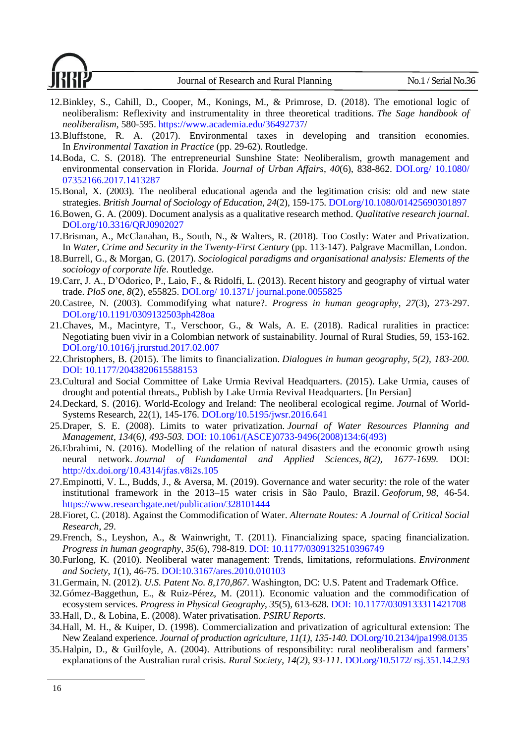- <span id="page-15-0"></span>12.Binkley, S., Cahill, D., Cooper, M., Konings, M., & Primrose, D. (2018). The emotional logic of neoliberalism: Reflexivity and instrumentality in three theoretical traditions. *The Sage handbook of neoliberalism*, 580-595. https://www.academia.edu/36492737/
- <span id="page-15-22"></span>13.Bluffstone, R. A. (2017). Environmental taxes in developing and transition economies. In *Environmental Taxation in Practice* (pp. 29-62). Routledge.
- <span id="page-15-5"></span>14.Boda, C. S. (2018). The entrepreneurial Sunshine State: Neoliberalism, growth management and environmental conservation in Florida. *Journal of Urban Affairs*, *40*(6), 838-862. [DOI.org/](https://doi.org/10.1080/07352166.2017.1413287) 10.1080/ [07352166.2017.1413287](https://doi.org/10.1080/07352166.2017.1413287)
- <span id="page-15-1"></span>15.Bonal, X. (2003). The neoliberal educational agenda and the legitimation crisis: old and new state strategies. *British Journal of Sociology of Education*, *24*(2), 159-175[. DOI.org/10.1080/01425690301897](https://doi.org/10.1080/01425690301897)
- <span id="page-15-13"></span>16.Bowen, G. A. (2009). Document analysis as a qualitative research method. *Qualitative research journal*. [DOI.org/10.3316/QRJ0902027](https://doi.org/10.3316/QRJ0902027)
- <span id="page-15-8"></span>17.Brisman, A., McClanahan, B., South, N., & Walters, R. (2018). Too Costly: Water and Privatization. In *Water, Crime and Security in the Twenty-First Century* (pp. 113-147). Palgrave Macmillan, London.
- <span id="page-15-14"></span>18.Burrell, G., & Morgan, G. (2017). *Sociological paradigms and organisational analysis: Elements of the sociology of corporate life*. Routledge.
- <span id="page-15-18"></span>19.Carr, J. A., D'Odorico, P., Laio, F., & Ridolfi, L. (2013). Recent history and geography of virtual water trade. *PloS one*, *8*(2), e55825. DOI.org/ 10.1371/ [journal.pone.0055825](https://doi.org/10.1371/journal.pone.0055825)
- <span id="page-15-9"></span>20.Castree, N. (2003). Commodifying what nature?. *Progress in human geography*, *27*(3), 273-297. [DOI.org/10.1191/0309132503ph428oa](https://doi.org/10.1191%2F0309132503ph428oa)
- <span id="page-15-2"></span>21.Chaves, M., Macintyre, T., Verschoor, G., & Wals, A. E. (2018). Radical ruralities in practice: Negotiating buen vivir in a Colombian network of sustainability. Journal of Rural Studies, 59, 153-162. [DOI.org/10.1016/j.jrurstud.2017.02.007](https://doi.org/10.1016/j.jrurstud.2017.02.007)
- <span id="page-15-11"></span>22.Christophers, B. (2015). The limits to financialization. *Dialogues in human geography, 5(2), 183-200.*  DOI: 10.1177/2043820615588153
- <span id="page-15-16"></span>23.Cultural and Social Committee of Lake Urmia Revival Headquarters. (2015). Lake Urmia, causes of drought and potential threats., Publish by Lake Urmia Revival Headquarters. [In Persian]
- <span id="page-15-12"></span>24.Deckard, S. (2016). World-Ecology and Ireland: The neoliberal ecological regime. *Jou*rnal of World-Systems Research, 22(1), 145-176. DO[I.org/10.5195/jwsr.2016.641](https://doi.org/10.5195/jwsr.2016.641)
- <span id="page-15-21"></span>25.Draper, S. E. (2008). Limits to water privatization. *Journal of Water Resources Planning and Management*, *134*(6*), 493-503.* DOI: 10.1061/(ASCE)0733-9496(2008)134:6(493)
- <span id="page-15-19"></span>26.Ebrahimi, N. (2016). Modelling of the relation of natural disasters and the economic growth using neural network. *Journal of Fundamental and Applied Sciences, 8(2), 1677-1699.* DOI: http://dx.doi.org/10.4314/jfas.v8i2s.105
- <span id="page-15-23"></span>27.Empinotti, V. L., Budds, J., & Aversa, M. (2019). Governance and water security: the role of the water institutional framework in the 2013–15 water crisis in São Paulo, Brazil. *Geoforum*, *98*, 46-54. https://www.researchgate.net/publication/328101444
- <span id="page-15-4"></span>28.Fioret, C. (2018). Against the Commodification of Water. *Alternate Routes: A Journal of Critical Social Research*, *29*.
- <span id="page-15-3"></span>29.French, S., Leyshon, A., & Wainwright, T. (2011). Financializing space, spacing financialization. *Progress in human geography*, *35*(6), 798-819. DOI: 10.1177/0309132510396749
- <span id="page-15-7"></span>30.Furlong, K. (2010). Neoliberal water management: Trends, limitations, reformulations. *Environment and Society*, *1*(1), 46-75. DOI:10.3167/ares.2010.010103
- <span id="page-15-15"></span>31.Germain, N. (2012). *U.S. Patent No. 8,170,867*. Washington, DC: U.S. Patent and Trademark Office.
- <span id="page-15-10"></span>32.Gómez-Baggethun, E., & Ruiz-Pérez, M. (2011). Economic valuation and the commodification of ecosystem services. *Progress in Physical Geography*, *35*(5), 613-628*.* DOI: 10.1177/0309133311421708
- <span id="page-15-17"></span>33.Hall, D., & Lobina, E. (2008). Water privatisation. *PSIRU Reports*.
- <span id="page-15-20"></span>34.Hall, M. H., & Kuiper, D. (1998). Commercialization and privatization of agricultural extension: The New Zealand experience. *Journal of production agriculture, 11(1), 135-140.* [DOI.org/10.2134/jpa1998.0135](https://doi.org/10.2134/jpa1998.0135)
- <span id="page-15-6"></span>35.Halpin, D., & Guilfoyle, A. (2004). Attributions of responsibility: rural neoliberalism and farmers' explanations of the Australian rural crisis*. Rural Society, 14(2), 93-111.* [DOI.org/10.5172/](https://doi.org/10.5172/rsj.351.14.2.93) rsj.351.14.2.93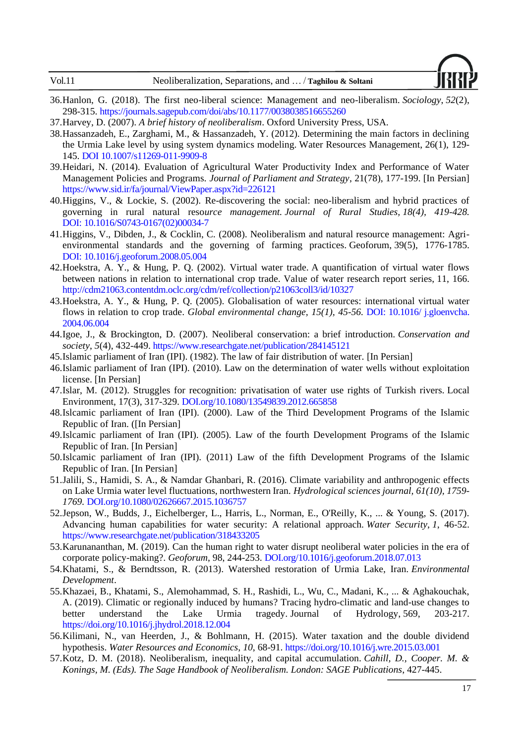

- <span id="page-16-10"></span>36.Hanlon, G. (2018). The first neo-liberal science: Management and neo-liberalism. *Sociology*, *52*(2), 298-315. https://journals.sagepub.com/doi/abs/10.1177/0038038516655260
- <span id="page-16-0"></span>37.Harvey, D. (2007). *A brief history of neoliberalism*. Oxford University Press, USA.
- <span id="page-16-8"></span>38.Hassanzadeh, E., Zarghami, M., & Hassanzadeh, Y. (2012). Determining the main factors in declining the Urmia Lake level by using system dynamics modeling. Water Resources Management, 26(1), 129- 145. DOI 10.1007/s11269-011-9909-8
- <span id="page-16-15"></span>39.Heidari, N. (2014). Evaluation of Agricultural Water Productivity Index and Performance of Water Management Policies and Programs. *Journal of Parliament and Strategy*, 21(78), 177-199. [In Persian] https://www.sid.ir/fa/journal/ViewPaper.aspx?id=226121
- <span id="page-16-4"></span>40.Higgins, V., & Lockie, S. (2002). Re-discovering the social: neo-liberalism and hybrid practices of governing in rural natural reso*urce management. Journal of Rural Studies, 18(4), 419-428.*  DOI: [10.1016/S0743-0167\(02\)00034-7](http://dx.doi.org/10.1016/S0743-0167(02)00034-7)
- <span id="page-16-3"></span>41.Higgins, V., Dibden, J., & Cocklin, C. (2008). Neoliberalism and natural resource management: Agrienvironmental standards and the governing of farming practices. Geoforum, 39(5), 1776-1785. DOI: [10.1016/j.geoforum.2008.05.004](http://dx.doi.org/10.1016/j.geoforum.2008.05.004)
- <span id="page-16-16"></span>42.Hoekstra, A. Y., & Hung, P. Q. (2002). Virtual water trade. A quantification of virtual water flows between nations in relation to international crop trade. Value of water research report series, 11, 166. http://cdm21063.contentdm.oclc.org/cdm/ref/collection/p21063coll3/id/10327
- <span id="page-16-17"></span>43.Hoekstra, A. Y., & Hung, P. Q. (2005). Globalisation of water resources: international virtual water flows in relation to crop trade. *Global environmental change, 15(1), 45-56.* DOI: 10.1016/ j.gloenvcha. 2004.06.004
- <span id="page-16-2"></span>44.Igoe, J., & Brockington, D. (2007). Neoliberal conservation: a brief introduction. *Conservation and society*, *5*(4), 432-449. https://www.researchgate.net/publication/284145121
- <span id="page-16-12"></span>45.Islamic parliament of Iran (IPI). (1982). The law of fair distribution of water. [In Persian]
- <span id="page-16-13"></span>46.Islamic parliament of Iran (IPI). (2010). Law on the determination of water wells without exploitation license. [In Persian]
- <span id="page-16-9"></span>47.Islar, M. (2012). Struggles for recognition: privatisation of water use rights of Turkish rivers. Local Environment, 17(3), 317-329[. DOI.org/10.1080/13549839.2012.665858](https://doi.org/10.1080/13549839.2012.665858)
- 48.Islcamic parliament of Iran (IPI). (2000). Law of the Third Development Programs of the Islamic Republic of Iran. ([In Persian]
- 49.Islcamic parliament of Iran (IPI). (2005). Law of the fourth Development Programs of the Islamic Republic of Iran. [In Persian]
- <span id="page-16-11"></span>50.Islcamic parliament of Iran (IPI). (2011) Law of the fifth Development Programs of the Islamic Republic of Iran. [In Persian]
- <span id="page-16-7"></span>51.Jalili, S., Hamidi, S. A., & Namdar Ghanbari, R. (2016). Climate variability and anthropogenic effects on Lake Urmia water level fluctuations, northwestern Iran. *Hydrological sciences journal, 61(10), 1759- 1769.* [DOI.org/10.1080/02626667.2015.1036757](https://doi.org/10.1080/02626667.2015.1036757)
- <span id="page-16-19"></span>52.Jepson, W., Budds, J., Eichelberger, L., Harris, L., Norman, E., O'Reilly, K., ... & Young, S. (2017). Advancing human capabilities for water security: A relational approach. *Water Security*, *1*, 46-52. https://www.researchgate.net/publication/318433205
- <span id="page-16-14"></span>53.Karunananthan, M. (2019). Can the human right to water disrupt neoliberal water policies in the era of corporate policy-making?. *Geoforum*, 98, 244-253[. DOI.org/10.1016/j.geoforum.2018.07.013](https://doi.org/10.1016/j.geoforum.2018.07.013)
- <span id="page-16-6"></span>54.Khatami, S., & Berndtsson, R. (2013). Watershed restoration of Urmia Lake, Iran. *Environmental Development*.
- <span id="page-16-5"></span>55.Khazaei, B., Khatami, S., Alemohammad, S. H., Rashidi, L., Wu, C., Madani, K., ... & Aghakouchak, A. (2019). Climatic or regionally induced by humans? Tracing hydro-climatic and land-use changes to better understand the Lake Urmia tragedy. Journal of Hydrology, 569, 203-217. https://doi.org/10.1016/j.jhydrol.2018.12.004
- <span id="page-16-18"></span>56.Kilimani, N., van Heerden, J., & Bohlmann, H. (2015). Water taxation and the double dividend hypothesis. *Water Resources and Economics*, *10*, 68-91. https://doi.org/10.1016/j.wre.2015.03.001
- <span id="page-16-1"></span>57.Kotz, D. M. (2018). Neoliberalism, inequality, and capital accumulation. *Cahill, D., Cooper. M. & Konings, M. (Eds). The Sage Handbook of Neoliberalism. London: SAGE Publications*, 427-445.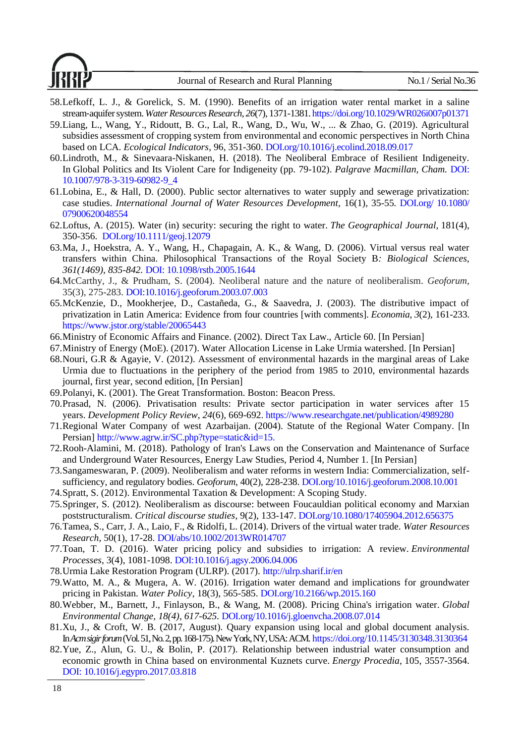

- <span id="page-17-19"></span>58.Lefkoff, L. J., & Gorelick, S. M. (1990). Benefits of an irrigation water rental market in a saline stream‐aquifer system. *Water Resources Research*, *26*(7), 1371-1381. https://doi.org/10.1029/WR026i007p01371
- <span id="page-17-7"></span>59.Liang, L., Wang, Y., Ridoutt, B. G., Lal, R., Wang, D., Wu, W., ... & Zhao, G. (2019). Agricultural subsidies assessment of cropping system from environmental and economic perspectives in North China based on LCA. *Ecological Indicators*, 96, 351-360. DOI.org/10.1016/j.ecolind.2018.09.017
- <span id="page-17-3"></span>60.Lindroth, M., & Sinevaara-Niskanen, H. (2018). The Neoliberal Embrace of Resilient Indigeneity. In Global Politics and Its Violent Care for Indigeneity (pp. 79-102). *Palgrave Macmillan, Cham.* DOI: 10.1007/978-3-319-60982-9\_4
- <span id="page-17-17"></span>61.Lobina, E., & Hall, D. (2000). Public sector alternatives to water supply and sewerage privatization: case studies. *International Journal of Water Resources Development,* 16(1), 35-55*.* DOI.org/ 10.1080/ 07900620048554
- <span id="page-17-23"></span>62.Loftus, A. (2015). Water (in) security: securing the right to water. *The Geographical Journal,* 181(4), 350-356. DOI.org/10.1111/geoj.12079
- 63.Ma, J., Hoekstra, A. Y., Wang, H., Chapagain, A. K., & Wang, D. (2006). Virtual versus real water transfers within China. Philosophical Transactions of the Royal Society B*: Biological Sciences, 361(1469), 835-842.* DOI: 10.1098/rstb.2005.1644
- <span id="page-17-2"></span>64.McCarthy, J., & Prudham, S. (2004). Neoliberal nature and the nature of neoliberalism. *Geoforum*, 35(3), 275-283. DOI:10.1016/j.geoforum.2003.07.003
- <span id="page-17-18"></span>65.McKenzie, D., Mookherjee, D., Castañeda, G., & Saavedra, J. (2003). The distributive impact of privatization in Latin America: Evidence from four countries [with comments]. *Economia*, *3*(2), 161-233. https://www.jstor.org/stable/20065443
- <span id="page-17-13"></span>66.Ministry of Economic Affairs and Finance. (2002). Direct Tax Law., Article 60. [In Persian]
- <span id="page-17-5"></span>67.Ministry of Energy (MoE). (2017). Water Allocation License in Lake Urmia watershed. [In Persian]
- <span id="page-17-4"></span>68.Nouri, G.R & Agayie, V. (2012). Assessment of environmental hazards in the marginal areas of Lake Urmia due to fluctuations in the periphery of the period from 1985 to 2010, environmental hazards journal, first year, second edition, [In Persian]
- <span id="page-17-1"></span>69.Polanyi, K. (2001). The Great Transformation. Boston: Beacon Press.
- <span id="page-17-20"></span>70.Prasad, N. (2006). Privatisation results: Private sector participation in water services after 15 years. *Development Policy Review*, *24*(6), 669-692. https://www.researchgate.net/publication/4989280
- <span id="page-17-10"></span>71.Regional Water Company of west Azarbaijan. (2004). Statute of the Regional Water Company. [In Persian] http://www.agrw.ir/SC.php?type=static&id=15.
- <span id="page-17-9"></span>72.Rooh-Alamini, M. (2018). Pathology of Iran's Laws on the Conservation and Maintenance of Surface and Underground Water Resources, Energy Law Studies, Period 4, Number 1. [In Persian]
- <span id="page-17-16"></span>73.Sangameswaran, P. (2009). Neoliberalism and water reforms in western India: Commercialization, selfsufficiency, and regulatory bodies. *Geoforum*, 40(2), 228-238. DOI.org/10.1016/j.geoforum.2008.10.001
- <span id="page-17-21"></span>74.Spratt, S. (2012). Environmental Taxation & Development: A Scoping Study.
- <span id="page-17-0"></span>75.Springer, S. (2012). Neoliberalism as discourse: between Foucauldian political economy and Marxian poststructuralism. *Critical discourse studies*, 9(2), 133-147. DOI.org/10.1080/17405904.2012.656375
- <span id="page-17-14"></span>76.Tamea, S., Carr, J. A., Laio, F., & Ridolfi, L. (2014). Drivers of the virtual water trade. *Water Resources Research*, 50(1), 17-28. DOI/abs/10.1002/2013WR014707
- <span id="page-17-12"></span>77.Toan, T. D. (2016). Water pricing policy and subsidies to irrigation: A review. *Environmental Processes*, 3(4), 1081-1098. DOI:10.1016/j.agsy.2006.04.006
- <span id="page-17-6"></span>78.Urmia Lake Restoration Program (ULRP). (2017). http://ulrp.sharif.ir/en
- <span id="page-17-22"></span>79.Watto, M. A., & Mugera, A. W. (2016). Irrigation water demand and implications for groundwater pricing in Pakistan. *Water Policy*, 18(3), 565-585. DOI.org/10.2166/wp.2015.160
- <span id="page-17-11"></span>80.Webber, M., Barnett, J., Finlayson, B., & Wang, M. (2008). Pricing China's irrigation water. *Global Environmental Change, 18(4), 617-625.* DOI.org/10.1016/j.gloenvcha.2008.07.014
- <span id="page-17-8"></span>81.Xu, J., & Croft, W. B. (2017, August). Quary expansion using local and global document analysis. In*Acm sigir forum*(Vol. 51, No. 2, pp. 168-175). New York, NY, USA: ACM. https://doi.org/10.1145/3130348.3130364
- <span id="page-17-15"></span>82.Yue, Z., Alun, G. U., & Bolin, P. (2017). Relationship between industrial water consumption and economic growth in China based on environmental Kuznets curve. *Energy Procedia*, 105, 3557-3564. DOI: 10.1016/j.egypro.2017.03.818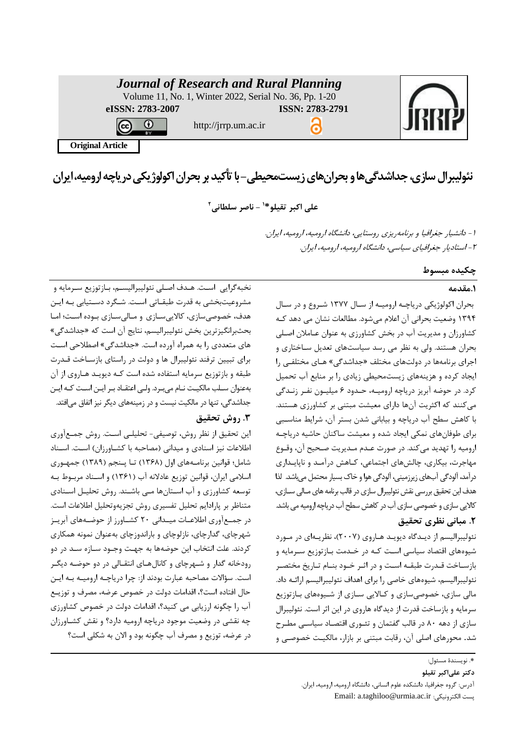|                         | <b>Journal of Research and Rural Planning</b><br>Volume 11, No. 1, Winter 2022, Serial No. 36, Pp. 1-20 |                        |  |
|-------------------------|---------------------------------------------------------------------------------------------------------|------------------------|--|
| eISSN: 2783-2007        | http://jrrp.um.ac.ir                                                                                    | <b>ISSN: 2783-2791</b> |  |
| <b>Original Article</b> |                                                                                                         |                        |  |

نئولیبرال سازی، جداشدگی ها و بحران های زیست محیطی - با تأکید بر بحران اکولوژیکی دریاچه ارومیه، ایران

**1 علی اکبر تقیلو\* - ناصر سلطانی 2**

-1 دانشیار جغرافیا <sup>و</sup> برنامهریزی روستایی، دانشگاه ارومیه، ارومیه، ایران. -2 استادیار جغرافیای سیاسی، دانشگاه ارومیه، ارومیه، ایران.

**چکیده مبسوط**

# **.1مقدمه**

بحران اکولوژیکی دریاچـه ارومیـه از سـال ۱۳۷۷ شـروع و در سـال 1394 وضعیت بحرانی آن اعالم میشود. مطالعات نشان می دهد کهه کشاورزان و مدیریت آب در بخش کشاورزی به عنوان عـاملان اصـلی بحران هستند. ولی به نظر می رسد سیاستهای تعدیل سهاختاری و اجرای برنامهها در دولتهای مختلف «جداشدگی» هـای مختلفـی را ایجاد کرده و هزینههای زیستمحیطی زیادی را بر منابع آب تحمیل کرد. در حوضه آبریز دریاچه ارومیـه، حـدود ۶ میلیـون نفـر زنـدگی میکنند که اکثریت آنها دارای معیشت مبتنی بر کشاورزی هستند. با کاهش سطح آب دریاچه و بیابانی شدن بستر آن، شرایط مناسهبی برای طوفانهای نمکی ایجاد شده و معیشت ساکنان حاشیه دریاچهه ارومیه را تهدید میکند. در صورت عـدم مـدیریت صـحیح آن، وقـوع مهاجرت، بیکاری، چالشهای اجتماعی، کـاهش درآمـد و ناپایـداری درآمد، آلودگی آبهای زیرزمینی، آلودگی هوا و خاک بسیار محتمل میباشد. لذا هدف این تحقیق بررسی نقش نئولیبرال سازی در قالب برنامه های مــالی ســازی، کالایی سازی و خصوصی سازی آب در کاهش سطح آب دریاچه ارومیه می باشد.

# **.2 مبانی نظری تحقیق**

نئولیبرالیسم از دیـدگاه دیویـد هـاروی (۲۰۰۷)، نظریـهای در مـورد شیوههای اقتصاد سیاسی است کـه در خـدمت بـازتوزیع سـرمایه و بازسـاخت قـدرت طبقـه اسـت و در اثـر خـود بنـام تـاریخ مختصـر نئولیبرالیسم، شیوههای خایی را برای اهداف نئولیبرالیسم ارائهه داد. مالی سازی، خصوصیسازی و کـالایی سـازی از شـیوههای بـازتوزیع سرمایه و بازساخت قدرت از دیدگاه هاروی در این اثر است. نئولیبرال سازی از دهه ۸۰ در قالب گفتمان و تئوری اقتصاد سیاسی مطرح شد. محورهای اصلی آن، رقابت مبتنی بر بازار، مالکیـت خصوصـی و

نخبهگرایی است. هـدف اصـلی نئولیبرالیسـم، بـازتوزیع سـرمایه و مشروعیتبخشی به قدرت طبقـاتی اسـت. شـگرد دسـتیابی بـه ایـن هدف، خصوصیسازی، کالاییسازی و مالیسازی بوده است؛ اما بحثبرانگیزترین بخش نئولیبرالیسم، نتایج آن است که »جداشدگی« های متعددی را به همراه آورده است. «جداشدگی» اصطلاحی است برای تبیین ترفند نئولیبرال ها و دولت در راستای بازساخت قـدرت طبقه و بازتوزیع سرمایه استفاده شده است کـه دیویـد هـاروی از آن به عنوان سـلب مالکیـت نـام می بـرد. ولـی اعتقـاد بـر ایــن اسـت کـه ایــن جداشدگی، تنها در مالکیت نیست و در زمینههای دیگر نیز اتفاق می|فتد.

# **.3 روش تحقیق**

این تحقیق از نظر روش، توصیفی- تحلیلی است. روش جمعآوری اطلاعات نیز اسنادی و میدانی (مصاحبه با کشـاورزان) اسـت. اسـناد شامل؛ قوانین برنامـههای اول (۱۳۶۸) تـا پـنجم (۱۳۸۹) جمهـوری اسلامی ایران، قوانین توزیع عادلانه آب (۱۳۶۱) و اسـناد مربـوط بـه توسعه کشاورزی و آب استانها میی باشند. روش تحلیـل اسـنادی متناظر بر پارادایم تحلیل تفسیری روش تجزیهوتحلیل اطلاعات است. در جمع]وری اطلاعـات میـدانی ۲۰ کشــاورز از حوضـههای آبریـز شهرچای، گدارچای، نازلوچای و باراندوزچای بهعنوان نمونه همکاری کردند. علت انتخاب این حوضهها به جهـت وجـود ســازه ســد در دو رودخانه گدار و شهرچای و کانالهای انتقـالی در دو حوضـه دیگـر است. سؤالات مصاحبه عبارت بودند از: چرا دریاچـه ارومیـه بـه ایـن حال افتاده است؟، اقدامات دولت در خصوص عرضه، مصرف و توزيـع آب را چگونه ارزیابی می کنید؟، اقدامات دولت در خصوص کشاورزی چه نقشی در وضعیت موجود دریاچه ارومیه دارد؟ و نقش کشهاورسان در عرضه، توزیع و مصرف آب چگونه بود و الان به شکلی است؟

**دکتر علیاکبر تقیلو**

<sup>.&</sup>lt;br>\*. نویسندهٔ مسئول:

آدرس: گروه جغرافیا، دانشکده علوم انسانی، دانشگاه ارومیه، ارومیه، ایران.

Email: a.taghiloo@urmia.ac.ir :الکترونیکی است